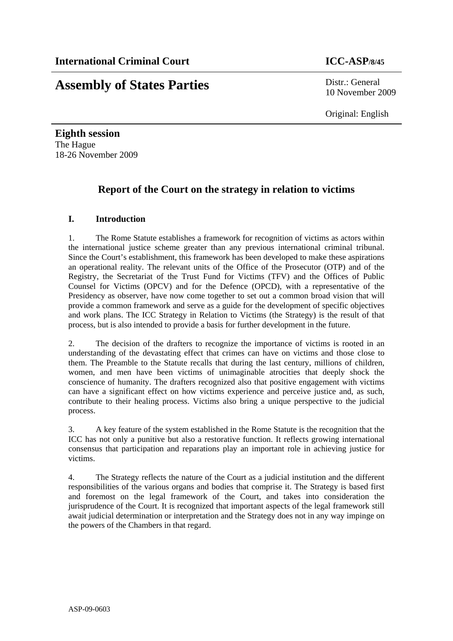# **Assembly of States Parties** Distr.: General

10 November 2009

Original: English

**Eighth session**  The Hague 18-26 November 2009

## **Report of the Court on the strategy in relation to victims**

### **I. Introduction**

1. The Rome Statute establishes a framework for recognition of victims as actors within the international justice scheme greater than any previous international criminal tribunal. Since the Court's establishment, this framework has been developed to make these aspirations an operational reality. The relevant units of the Office of the Prosecutor (OTP) and of the Registry, the Secretariat of the Trust Fund for Victims (TFV) and the Offices of Public Counsel for Victims (OPCV) and for the Defence (OPCD), with a representative of the Presidency as observer, have now come together to set out a common broad vision that will provide a common framework and serve as a guide for the development of specific objectives and work plans. The ICC Strategy in Relation to Victims (the Strategy) is the result of that process, but is also intended to provide a basis for further development in the future.

2. The decision of the drafters to recognize the importance of victims is rooted in an understanding of the devastating effect that crimes can have on victims and those close to them. The Preamble to the Statute recalls that during the last century, millions of children, women, and men have been victims of unimaginable atrocities that deeply shock the conscience of humanity. The drafters recognized also that positive engagement with victims can have a significant effect on how victims experience and perceive justice and, as such, contribute to their healing process. Victims also bring a unique perspective to the judicial process.

3. A key feature of the system established in the Rome Statute is the recognition that the ICC has not only a punitive but also a restorative function. It reflects growing international consensus that participation and reparations play an important role in achieving justice for victims.

4. The Strategy reflects the nature of the Court as a judicial institution and the different responsibilities of the various organs and bodies that comprise it. The Strategy is based first and foremost on the legal framework of the Court, and takes into consideration the jurisprudence of the Court. It is recognized that important aspects of the legal framework still await judicial determination or interpretation and the Strategy does not in any way impinge on the powers of the Chambers in that regard.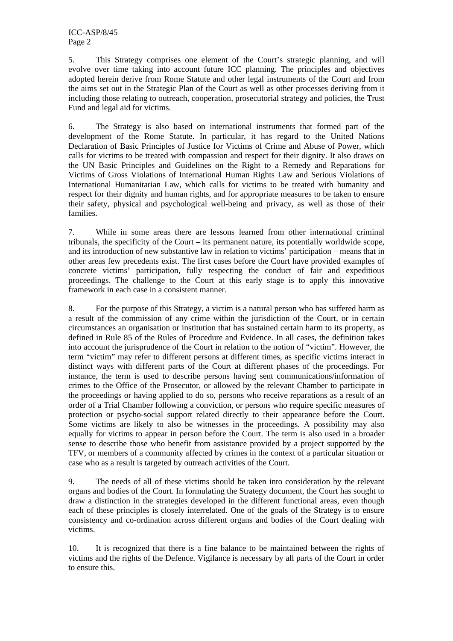5. This Strategy comprises one element of the Court's strategic planning, and will evolve over time taking into account future ICC planning. The principles and objectives adopted herein derive from Rome Statute and other legal instruments of the Court and from the aims set out in the Strategic Plan of the Court as well as other processes deriving from it including those relating to outreach, cooperation, prosecutorial strategy and policies, the Trust Fund and legal aid for victims.

6. The Strategy is also based on international instruments that formed part of the development of the Rome Statute. In particular, it has regard to the United Nations Declaration of Basic Principles of Justice for Victims of Crime and Abuse of Power, which calls for victims to be treated with compassion and respect for their dignity. It also draws on the UN Basic Principles and Guidelines on the Right to a Remedy and Reparations for Victims of Gross Violations of International Human Rights Law and Serious Violations of International Humanitarian Law, which calls for victims to be treated with humanity and respect for their dignity and human rights, and for appropriate measures to be taken to ensure their safety, physical and psychological well-being and privacy, as well as those of their families.

7. While in some areas there are lessons learned from other international criminal tribunals, the specificity of the Court – its permanent nature, its potentially worldwide scope, and its introduction of new substantive law in relation to victims' participation – means that in other areas few precedents exist. The first cases before the Court have provided examples of concrete victims' participation, fully respecting the conduct of fair and expeditious proceedings. The challenge to the Court at this early stage is to apply this innovative framework in each case in a consistent manner.

8. For the purpose of this Strategy, a victim is a natural person who has suffered harm as a result of the commission of any crime within the jurisdiction of the Court, or in certain circumstances an organisation or institution that has sustained certain harm to its property, as defined in Rule 85 of the Rules of Procedure and Evidence. In all cases, the definition takes into account the jurisprudence of the Court in relation to the notion of "victim". However, the term "victim" may refer to different persons at different times, as specific victims interact in distinct ways with different parts of the Court at different phases of the proceedings. For instance, the term is used to describe persons having sent communications/information of crimes to the Office of the Prosecutor, or allowed by the relevant Chamber to participate in the proceedings or having applied to do so, persons who receive reparations as a result of an order of a Trial Chamber following a conviction, or persons who require specific measures of protection or psycho-social support related directly to their appearance before the Court. Some victims are likely to also be witnesses in the proceedings. A possibility may also equally for victims to appear in person before the Court. The term is also used in a broader sense to describe those who benefit from assistance provided by a project supported by the TFV, or members of a community affected by crimes in the context of a particular situation or case who as a result is targeted by outreach activities of the Court.

9. The needs of all of these victims should be taken into consideration by the relevant organs and bodies of the Court. In formulating the Strategy document, the Court has sought to draw a distinction in the strategies developed in the different functional areas, even though each of these principles is closely interrelated. One of the goals of the Strategy is to ensure consistency and co-ordination across different organs and bodies of the Court dealing with victims.

10. It is recognized that there is a fine balance to be maintained between the rights of victims and the rights of the Defence. Vigilance is necessary by all parts of the Court in order to ensure this.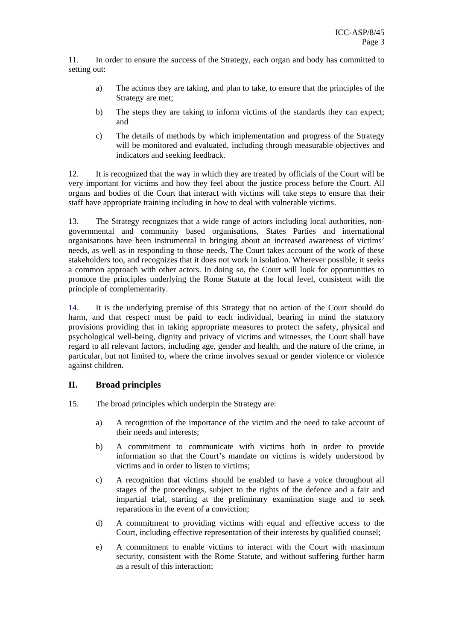11. In order to ensure the success of the Strategy, each organ and body has committed to setting out:

- a) The actions they are taking, and plan to take, to ensure that the principles of the Strategy are met;
- b) The steps they are taking to inform victims of the standards they can expect; and
- c) The details of methods by which implementation and progress of the Strategy will be monitored and evaluated, including through measurable objectives and indicators and seeking feedback.

12. It is recognized that the way in which they are treated by officials of the Court will be very important for victims and how they feel about the justice process before the Court. All organs and bodies of the Court that interact with victims will take steps to ensure that their staff have appropriate training including in how to deal with vulnerable victims.

13. The Strategy recognizes that a wide range of actors including local authorities, nongovernmental and community based organisations, States Parties and international organisations have been instrumental in bringing about an increased awareness of victims' needs, as well as in responding to those needs. The Court takes account of the work of these stakeholders too, and recognizes that it does not work in isolation. Wherever possible, it seeks a common approach with other actors. In doing so, the Court will look for opportunities to promote the principles underlying the Rome Statute at the local level, consistent with the principle of complementarity.

14. It is the underlying premise of this Strategy that no action of the Court should do harm, and that respect must be paid to each individual, bearing in mind the statutory provisions providing that in taking appropriate measures to protect the safety, physical and psychological well-being, dignity and privacy of victims and witnesses, the Court shall have regard to all relevant factors, including age, gender and health, and the nature of the crime, in particular, but not limited to, where the crime involves sexual or gender violence or violence against children.

#### **II. Broad principles**

- 15. The broad principles which underpin the Strategy are:
	- a) A recognition of the importance of the victim and the need to take account of their needs and interests;
	- b) A commitment to communicate with victims both in order to provide information so that the Court's mandate on victims is widely understood by victims and in order to listen to victims;
	- c) A recognition that victims should be enabled to have a voice throughout all stages of the proceedings, subject to the rights of the defence and a fair and impartial trial, starting at the preliminary examination stage and to seek reparations in the event of a conviction;
	- d) A commitment to providing victims with equal and effective access to the Court, including effective representation of their interests by qualified counsel;
	- e) A commitment to enable victims to interact with the Court with maximum security, consistent with the Rome Statute, and without suffering further harm as a result of this interaction;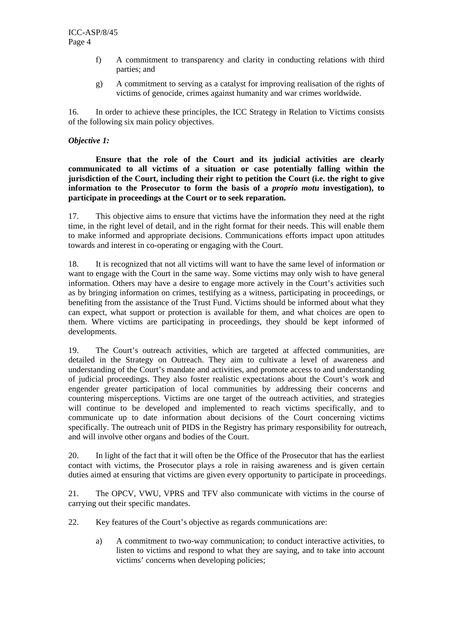- f) A commitment to transparency and clarity in conducting relations with third parties; and
- g) A commitment to serving as a catalyst for improving realisation of the rights of victims of genocide, crimes against humanity and war crimes worldwide.

16. In order to achieve these principles, the ICC Strategy in Relation to Victims consists of the following six main policy objectives.

#### *Objective 1:*

**Ensure that the role of the Court and its judicial activities are clearly communicated to all victims of a situation or case potentially falling within the jurisdiction of the Court, including their right to petition the Court (i.e. the right to give information to the Prosecutor to form the basis of a** *proprio motu* **investigation), to participate in proceedings at the Court or to seek reparation.** 

17. This objective aims to ensure that victims have the information they need at the right time, in the right level of detail, and in the right format for their needs. This will enable them to make informed and appropriate decisions. Communications efforts impact upon attitudes towards and interest in co-operating or engaging with the Court.

18. It is recognized that not all victims will want to have the same level of information or want to engage with the Court in the same way. Some victims may only wish to have general information. Others may have a desire to engage more actively in the Court's activities such as by bringing information on crimes, testifying as a witness, participating in proceedings, or benefiting from the assistance of the Trust Fund. Victims should be informed about what they can expect, what support or protection is available for them, and what choices are open to them. Where victims are participating in proceedings, they should be kept informed of developments.

19. The Court's outreach activities, which are targeted at affected communities, are detailed in the Strategy on Outreach. They aim to cultivate a level of awareness and understanding of the Court's mandate and activities, and promote access to and understanding of judicial proceedings. They also foster realistic expectations about the Court's work and engender greater participation of local communities by addressing their concerns and countering misperceptions. Victims are one target of the outreach activities, and strategies will continue to be developed and implemented to reach victims specifically, and to communicate up to date information about decisions of the Court concerning victims specifically. The outreach unit of PIDS in the Registry has primary responsibility for outreach, and will involve other organs and bodies of the Court.

20. In light of the fact that it will often be the Office of the Prosecutor that has the earliest contact with victims, the Prosecutor plays a role in raising awareness and is given certain duties aimed at ensuring that victims are given every opportunity to participate in proceedings.

21. The OPCV, VWU, VPRS and TFV also communicate with victims in the course of carrying out their specific mandates.

22. Key features of the Court's objective as regards communications are:

a) A commitment to two-way communication; to conduct interactive activities, to listen to victims and respond to what they are saying, and to take into account victims' concerns when developing policies;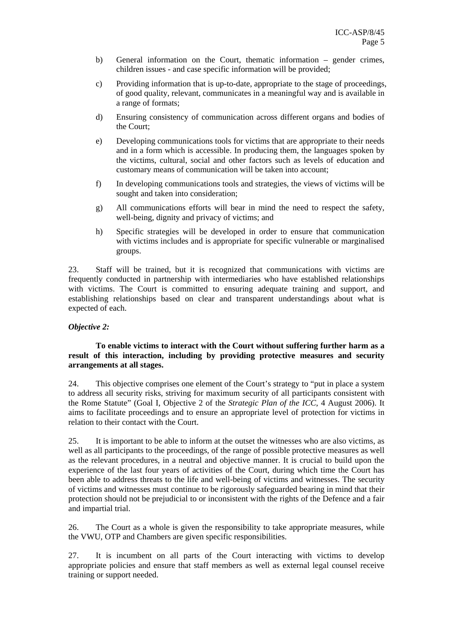- b) General information on the Court, thematic information gender crimes, children issues - and case specific information will be provided;
- c) Providing information that is up-to-date, appropriate to the stage of proceedings, of good quality, relevant, communicates in a meaningful way and is available in a range of formats;
- d) Ensuring consistency of communication across different organs and bodies of the Court;
- e) Developing communications tools for victims that are appropriate to their needs and in a form which is accessible. In producing them, the languages spoken by the victims, cultural, social and other factors such as levels of education and customary means of communication will be taken into account;
- f) In developing communications tools and strategies, the views of victims will be sought and taken into consideration;
- g) All communications efforts will bear in mind the need to respect the safety, well-being, dignity and privacy of victims; and
- h) Specific strategies will be developed in order to ensure that communication with victims includes and is appropriate for specific vulnerable or marginalised groups.

23. Staff will be trained, but it is recognized that communications with victims are frequently conducted in partnership with intermediaries who have established relationships with victims. The Court is committed to ensuring adequate training and support, and establishing relationships based on clear and transparent understandings about what is expected of each.

#### *Objective 2:*

#### **To enable victims to interact with the Court without suffering further harm as a result of this interaction, including by providing protective measures and security arrangements at all stages.**

24. This objective comprises one element of the Court's strategy to "put in place a system to address all security risks, striving for maximum security of all participants consistent with the Rome Statute" (Goal I, Objective 2 of the *Strategic Plan of the ICC*, 4 August 2006). It aims to facilitate proceedings and to ensure an appropriate level of protection for victims in relation to their contact with the Court.

25. It is important to be able to inform at the outset the witnesses who are also victims, as well as all participants to the proceedings, of the range of possible protective measures as well as the relevant procedures, in a neutral and objective manner. It is crucial to build upon the experience of the last four years of activities of the Court, during which time the Court has been able to address threats to the life and well-being of victims and witnesses. The security of victims and witnesses must continue to be rigorously safeguarded bearing in mind that their protection should not be prejudicial to or inconsistent with the rights of the Defence and a fair and impartial trial.

26. The Court as a whole is given the responsibility to take appropriate measures, while the VWU, OTP and Chambers are given specific responsibilities.

27. It is incumbent on all parts of the Court interacting with victims to develop appropriate policies and ensure that staff members as well as external legal counsel receive training or support needed.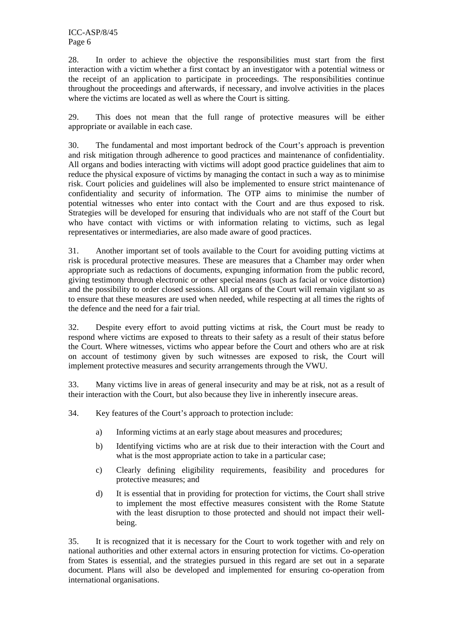ICC-ASP/8/45 Page 6

28. In order to achieve the objective the responsibilities must start from the first interaction with a victim whether a first contact by an investigator with a potential witness or the receipt of an application to participate in proceedings. The responsibilities continue throughout the proceedings and afterwards, if necessary, and involve activities in the places where the victims are located as well as where the Court is sitting.

29. This does not mean that the full range of protective measures will be either appropriate or available in each case.

30. The fundamental and most important bedrock of the Court's approach is prevention and risk mitigation through adherence to good practices and maintenance of confidentiality. All organs and bodies interacting with victims will adopt good practice guidelines that aim to reduce the physical exposure of victims by managing the contact in such a way as to minimise risk. Court policies and guidelines will also be implemented to ensure strict maintenance of confidentiality and security of information. The OTP aims to minimise the number of potential witnesses who enter into contact with the Court and are thus exposed to risk. Strategies will be developed for ensuring that individuals who are not staff of the Court but who have contact with victims or with information relating to victims, such as legal representatives or intermediaries, are also made aware of good practices.

31. Another important set of tools available to the Court for avoiding putting victims at risk is procedural protective measures. These are measures that a Chamber may order when appropriate such as redactions of documents, expunging information from the public record, giving testimony through electronic or other special means (such as facial or voice distortion) and the possibility to order closed sessions. All organs of the Court will remain vigilant so as to ensure that these measures are used when needed, while respecting at all times the rights of the defence and the need for a fair trial.

32. Despite every effort to avoid putting victims at risk, the Court must be ready to respond where victims are exposed to threats to their safety as a result of their status before the Court. Where witnesses, victims who appear before the Court and others who are at risk on account of testimony given by such witnesses are exposed to risk, the Court will implement protective measures and security arrangements through the VWU.

33. Many victims live in areas of general insecurity and may be at risk, not as a result of their interaction with the Court, but also because they live in inherently insecure areas.

34. Key features of the Court's approach to protection include:

- a) Informing victims at an early stage about measures and procedures;
- b) Identifying victims who are at risk due to their interaction with the Court and what is the most appropriate action to take in a particular case;
- c) Clearly defining eligibility requirements, feasibility and procedures for protective measures; and
- d) It is essential that in providing for protection for victims, the Court shall strive to implement the most effective measures consistent with the Rome Statute with the least disruption to those protected and should not impact their wellbeing.

35. It is recognized that it is necessary for the Court to work together with and rely on national authorities and other external actors in ensuring protection for victims. Co-operation from States is essential, and the strategies pursued in this regard are set out in a separate document. Plans will also be developed and implemented for ensuring co-operation from international organisations.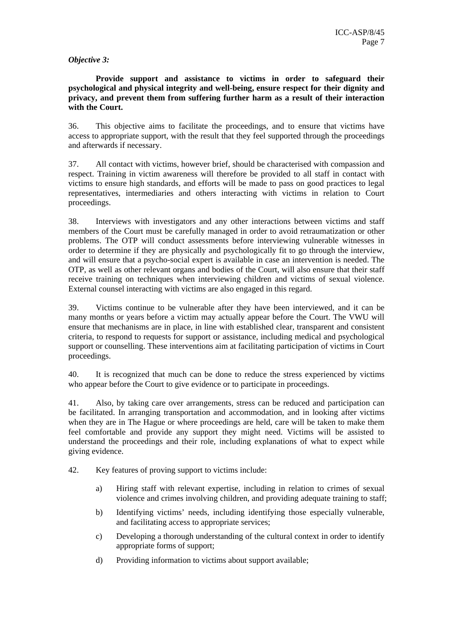#### *Objective 3:*

**Provide support and assistance to victims in order to safeguard their psychological and physical integrity and well-being, ensure respect for their dignity and privacy, and prevent them from suffering further harm as a result of their interaction with the Court.** 

36. This objective aims to facilitate the proceedings, and to ensure that victims have access to appropriate support, with the result that they feel supported through the proceedings and afterwards if necessary.

37. All contact with victims, however brief, should be characterised with compassion and respect. Training in victim awareness will therefore be provided to all staff in contact with victims to ensure high standards, and efforts will be made to pass on good practices to legal representatives, intermediaries and others interacting with victims in relation to Court proceedings.

38. Interviews with investigators and any other interactions between victims and staff members of the Court must be carefully managed in order to avoid retraumatization or other problems. The OTP will conduct assessments before interviewing vulnerable witnesses in order to determine if they are physically and psychologically fit to go through the interview, and will ensure that a psycho-social expert is available in case an intervention is needed. The OTP, as well as other relevant organs and bodies of the Court, will also ensure that their staff receive training on techniques when interviewing children and victims of sexual violence. External counsel interacting with victims are also engaged in this regard.

39. Victims continue to be vulnerable after they have been interviewed, and it can be many months or years before a victim may actually appear before the Court. The VWU will ensure that mechanisms are in place, in line with established clear, transparent and consistent criteria, to respond to requests for support or assistance, including medical and psychological support or counselling. These interventions aim at facilitating participation of victims in Court proceedings.

40. It is recognized that much can be done to reduce the stress experienced by victims who appear before the Court to give evidence or to participate in proceedings.

41. Also, by taking care over arrangements, stress can be reduced and participation can be facilitated. In arranging transportation and accommodation, and in looking after victims when they are in The Hague or where proceedings are held, care will be taken to make them feel comfortable and provide any support they might need. Victims will be assisted to understand the proceedings and their role, including explanations of what to expect while giving evidence.

42. Key features of proving support to victims include:

- a) Hiring staff with relevant expertise, including in relation to crimes of sexual violence and crimes involving children, and providing adequate training to staff;
- b) Identifying victims' needs, including identifying those especially vulnerable, and facilitating access to appropriate services;
- c) Developing a thorough understanding of the cultural context in order to identify appropriate forms of support;
- d) Providing information to victims about support available;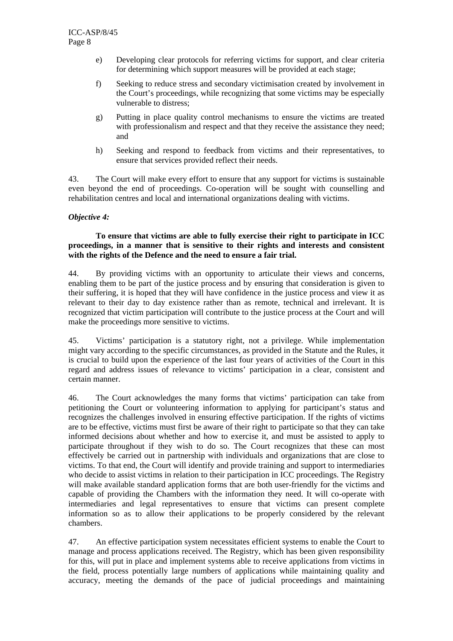- e) Developing clear protocols for referring victims for support, and clear criteria for determining which support measures will be provided at each stage;
- f) Seeking to reduce stress and secondary victimisation created by involvement in the Court's proceedings, while recognizing that some victims may be especially vulnerable to distress;
- g) Putting in place quality control mechanisms to ensure the victims are treated with professionalism and respect and that they receive the assistance they need; and
- h) Seeking and respond to feedback from victims and their representatives, to ensure that services provided reflect their needs.

43. The Court will make every effort to ensure that any support for victims is sustainable even beyond the end of proceedings. Co-operation will be sought with counselling and rehabilitation centres and local and international organizations dealing with victims.

#### *Objective 4:*

#### **To ensure that victims are able to fully exercise their right to participate in ICC proceedings, in a manner that is sensitive to their rights and interests and consistent with the rights of the Defence and the need to ensure a fair trial.**

44. By providing victims with an opportunity to articulate their views and concerns, enabling them to be part of the justice process and by ensuring that consideration is given to their suffering, it is hoped that they will have confidence in the justice process and view it as relevant to their day to day existence rather than as remote, technical and irrelevant. It is recognized that victim participation will contribute to the justice process at the Court and will make the proceedings more sensitive to victims.

45. Victims' participation is a statutory right, not a privilege. While implementation might vary according to the specific circumstances, as provided in the Statute and the Rules, it is crucial to build upon the experience of the last four years of activities of the Court in this regard and address issues of relevance to victims' participation in a clear, consistent and certain manner.

46. The Court acknowledges the many forms that victims' participation can take from petitioning the Court or volunteering information to applying for participant's status and recognizes the challenges involved in ensuring effective participation. If the rights of victims are to be effective, victims must first be aware of their right to participate so that they can take informed decisions about whether and how to exercise it, and must be assisted to apply to participate throughout if they wish to do so. The Court recognizes that these can most effectively be carried out in partnership with individuals and organizations that are close to victims. To that end, the Court will identify and provide training and support to intermediaries who decide to assist victims in relation to their participation in ICC proceedings. The Registry will make available standard application forms that are both user-friendly for the victims and capable of providing the Chambers with the information they need. It will co-operate with intermediaries and legal representatives to ensure that victims can present complete information so as to allow their applications to be properly considered by the relevant chambers.

47. An effective participation system necessitates efficient systems to enable the Court to manage and process applications received. The Registry, which has been given responsibility for this, will put in place and implement systems able to receive applications from victims in the field, process potentially large numbers of applications while maintaining quality and accuracy, meeting the demands of the pace of judicial proceedings and maintaining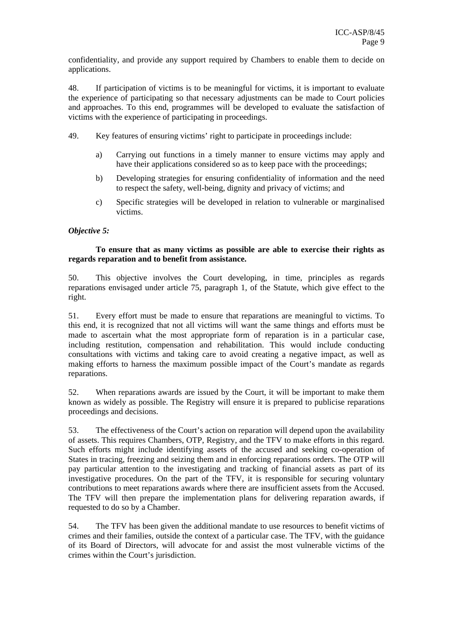confidentiality, and provide any support required by Chambers to enable them to decide on applications.

48. If participation of victims is to be meaningful for victims, it is important to evaluate the experience of participating so that necessary adjustments can be made to Court policies and approaches. To this end, programmes will be developed to evaluate the satisfaction of victims with the experience of participating in proceedings.

- 49. Key features of ensuring victims' right to participate in proceedings include:
	- a) Carrying out functions in a timely manner to ensure victims may apply and have their applications considered so as to keep pace with the proceedings;
	- b) Developing strategies for ensuring confidentiality of information and the need to respect the safety, well-being, dignity and privacy of victims; and
	- c) Specific strategies will be developed in relation to vulnerable or marginalised victims.

#### *Objective 5:*

#### **To ensure that as many victims as possible are able to exercise their rights as regards reparation and to benefit from assistance.**

50. This objective involves the Court developing, in time, principles as regards reparations envisaged under article 75, paragraph 1, of the Statute, which give effect to the right.

51. Every effort must be made to ensure that reparations are meaningful to victims. To this end, it is recognized that not all victims will want the same things and efforts must be made to ascertain what the most appropriate form of reparation is in a particular case, including restitution, compensation and rehabilitation. This would include conducting consultations with victims and taking care to avoid creating a negative impact, as well as making efforts to harness the maximum possible impact of the Court's mandate as regards reparations.

52. When reparations awards are issued by the Court, it will be important to make them known as widely as possible. The Registry will ensure it is prepared to publicise reparations proceedings and decisions.

53. The effectiveness of the Court's action on reparation will depend upon the availability of assets. This requires Chambers, OTP, Registry, and the TFV to make efforts in this regard. Such efforts might include identifying assets of the accused and seeking co-operation of States in tracing, freezing and seizing them and in enforcing reparations orders. The OTP will pay particular attention to the investigating and tracking of financial assets as part of its investigative procedures. On the part of the TFV, it is responsible for securing voluntary contributions to meet reparations awards where there are insufficient assets from the Accused. The TFV will then prepare the implementation plans for delivering reparation awards, if requested to do so by a Chamber.

54. The TFV has been given the additional mandate to use resources to benefit victims of crimes and their families, outside the context of a particular case. The TFV, with the guidance of its Board of Directors, will advocate for and assist the most vulnerable victims of the crimes within the Court's jurisdiction.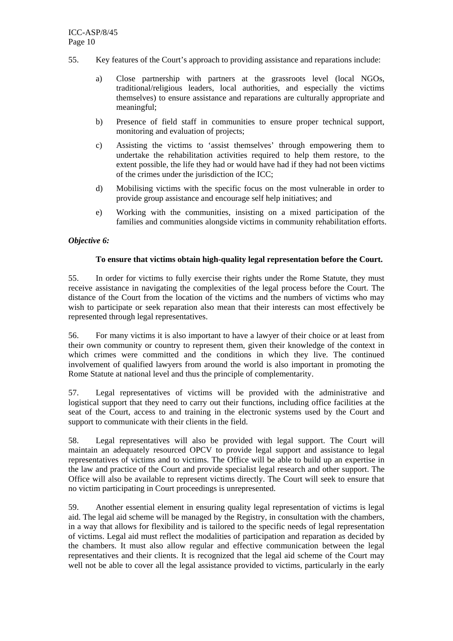- 55. Key features of the Court's approach to providing assistance and reparations include:
	- a) Close partnership with partners at the grassroots level (local NGOs, traditional/religious leaders, local authorities, and especially the victims themselves) to ensure assistance and reparations are culturally appropriate and meaningful;
	- b) Presence of field staff in communities to ensure proper technical support, monitoring and evaluation of projects;
	- c) Assisting the victims to 'assist themselves' through empowering them to undertake the rehabilitation activities required to help them restore, to the extent possible, the life they had or would have had if they had not been victims of the crimes under the jurisdiction of the ICC;
	- d) Mobilising victims with the specific focus on the most vulnerable in order to provide group assistance and encourage self help initiatives; and
	- e) Working with the communities, insisting on a mixed participation of the families and communities alongside victims in community rehabilitation efforts.

#### *Objective 6:*

#### **To ensure that victims obtain high-quality legal representation before the Court.**

55. In order for victims to fully exercise their rights under the Rome Statute, they must receive assistance in navigating the complexities of the legal process before the Court. The distance of the Court from the location of the victims and the numbers of victims who may wish to participate or seek reparation also mean that their interests can most effectively be represented through legal representatives.

56. For many victims it is also important to have a lawyer of their choice or at least from their own community or country to represent them, given their knowledge of the context in which crimes were committed and the conditions in which they live. The continued involvement of qualified lawyers from around the world is also important in promoting the Rome Statute at national level and thus the principle of complementarity.

57. Legal representatives of victims will be provided with the administrative and logistical support that they need to carry out their functions, including office facilities at the seat of the Court, access to and training in the electronic systems used by the Court and support to communicate with their clients in the field.

58. Legal representatives will also be provided with legal support. The Court will maintain an adequately resourced OPCV to provide legal support and assistance to legal representatives of victims and to victims. The Office will be able to build up an expertise in the law and practice of the Court and provide specialist legal research and other support. The Office will also be available to represent victims directly. The Court will seek to ensure that no victim participating in Court proceedings is unrepresented.

59. Another essential element in ensuring quality legal representation of victims is legal aid. The legal aid scheme will be managed by the Registry, in consultation with the chambers, in a way that allows for flexibility and is tailored to the specific needs of legal representation of victims. Legal aid must reflect the modalities of participation and reparation as decided by the chambers. It must also allow regular and effective communication between the legal representatives and their clients. It is recognized that the legal aid scheme of the Court may well not be able to cover all the legal assistance provided to victims, particularly in the early